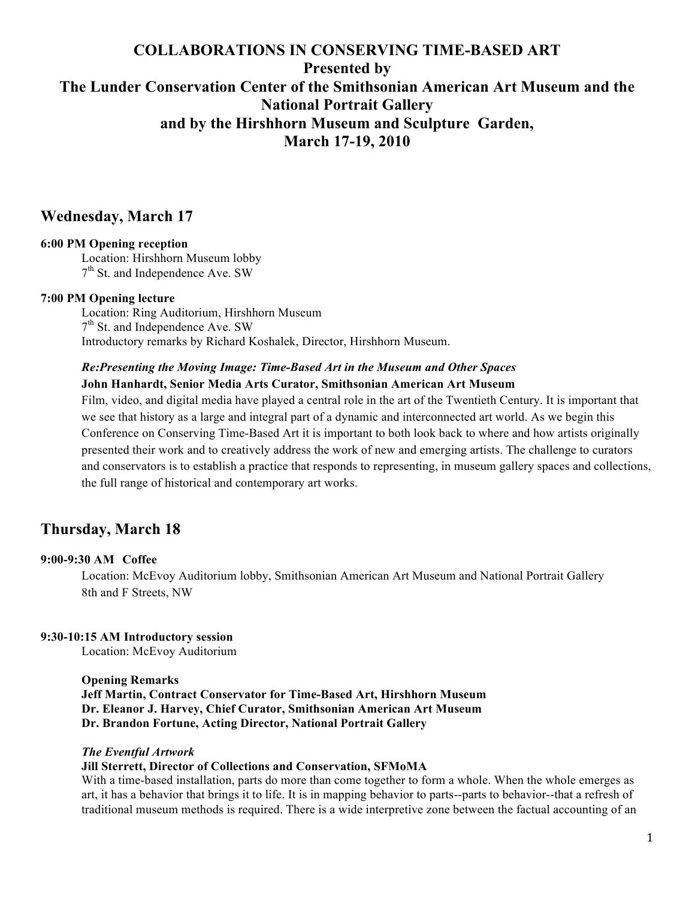# **COLLABORATIONS IN CONSERVING TIME-BASED ART Presented by The Lunder Conservation Center of the Smithsonian American Art Museum and the National Portrait Gallery and by the Hirshhorn Museum and Sculpture Garden, March 17-19, 2010**

## **Wednesday, March 17**

## **6:00 PM Opening reception**

Location: Hirshhorn Museum lobby 7<sup>th</sup> St. and Independence Ave. SW

#### **7:00 PM Opening lecture**

Location: Ring Auditorium, Hirshhorn Museum 7<sup>th</sup> St. and Independence Ave. SW Introductory remarks by Richard Koshalek, Director, Hirshhorn Museum.

## *Re:Presenting the Moving Image: Time-Based Art in the Museum and Other Spaces* **John Hanhardt, Senior Media Arts Curator, Smithsonian American Art Museum**

Film, video, and digital media have played a central role in the art of the Twentieth Century. It is important that we see that history as a large and integral part of a dynamic and interconnected art world. As we begin this Conference on Conserving Time-Based Art it is important to both look back to where and how artists originally presented their work and to creatively address the work of new and emerging artists. The challenge to curators and conservators is to establish a practice that responds to representing, in museum gallery spaces and collections, the full range of historical and contemporary art works.

# **Thursday, March 18**

#### **9:00-9:30 AM Coffee**

Location: McEvoy Auditorium lobby, Smithsonian American Art Museum and National Portrait Gallery 8th and F Streets, NW

## **9:30-10:15 AM Introductory session**

Location: McEvoy Auditorium

#### **Opening Remarks**

**Jeff Martin, Contract Conservator for Time-Based Art, Hirshhorn Museum Dr. Eleanor J. Harvey, Chief Curator, Smithsonian American Art Museum Dr. Brandon Fortune, Acting Director, National Portrait Gallery**

#### *The Eventful Artwork*

#### **Jill Sterrett, Director of Collections and Conservation, SFMoMA**

With a time-based installation, parts do more than come together to form a whole. When the whole emerges as art, it has a behavior that brings it to life. It is in mapping behavior to parts--parts to behavior--that a refresh of traditional museum methods is required. There is a wide interpretive zone between the factual accounting of an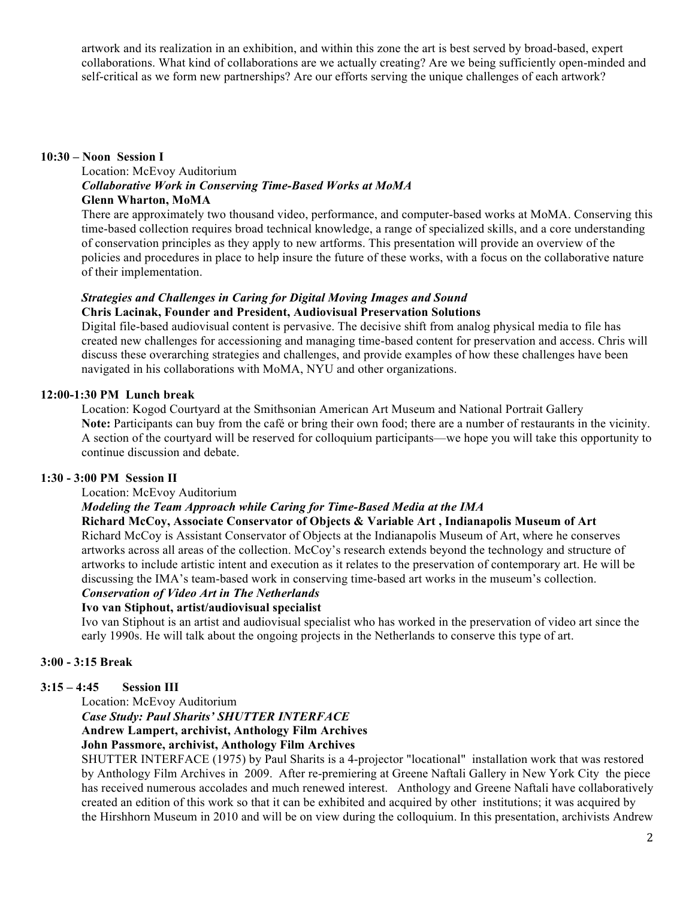artwork and its realization in an exhibition, and within this zone the art is best served by broad-based, expert collaborations. What kind of collaborations are we actually creating? Are we being sufficiently open-minded and self-critical as we form new partnerships? Are our efforts serving the unique challenges of each artwork?

#### **10:30 – Noon Session I**

Location: McEvoy Auditorium *Collaborative Work in Conserving Time-Based Works at MoMA* **Glenn Wharton, MoMA**

There are approximately two thousand video, performance, and computer-based works at MoMA. Conserving this time-based collection requires broad technical knowledge, a range of specialized skills, and a core understanding of conservation principles as they apply to new artforms. This presentation will provide an overview of the policies and procedures in place to help insure the future of these works, with a focus on the collaborative nature of their implementation.

#### *Strategies and Challenges in Caring for Digital Moving Images and Sound* **Chris Lacinak, Founder and President, Audiovisual Preservation Solutions**

Digital file-based audiovisual content is pervasive. The decisive shift from analog physical media to file has created new challenges for accessioning and managing time-based content for preservation and access. Chris will discuss these overarching strategies and challenges, and provide examples of how these challenges have been navigated in his collaborations with MoMA, NYU and other organizations.

## **12:00-1:30 PM Lunch break**

Location: Kogod Courtyard at the Smithsonian American Art Museum and National Portrait Gallery Note: Participants can buy from the café or bring their own food; there are a number of restaurants in the vicinity. A section of the courtyard will be reserved for colloquium participants—we hope you will take this opportunity to continue discussion and debate.

## **1:30 - 3:00 PM Session II**

#### Location: McEvoy Auditorium

## *Modeling the Team Approach while Caring for Time-Based Media at the IMA*

## **Richard McCoy, Associate Conservator of Objects & Variable Art , Indianapolis Museum of Art**

Richard McCoy is Assistant Conservator of Objects at the Indianapolis Museum of Art, where he conserves artworks across all areas of the collection. McCoy's research extends beyond the technology and structure of artworks to include artistic intent and execution as it relates to the preservation of contemporary art. He will be discussing the IMA's team-based work in conserving time-based art works in the museum's collection.

# *Conservation of Video Art in The Netherlands*

## **Ivo van Stiphout, artist/audiovisual specialist**

Ivo van Stiphout is an artist and audiovisual specialist who has worked in the preservation of video art since the early 1990s. He will talk about the ongoing projects in the Netherlands to conserve this type of art.

## **3:00 - 3:15 Break**

## **3:15 – 4:45 Session III**

Location: McEvoy Auditorium

#### *Case Study: Paul Sharits' SHUTTER INTERFACE* **Andrew Lampert, archivist, Anthology Film Archives**

# **John Passmore, archivist, Anthology Film Archives**

SHUTTER INTERFACE (1975) by Paul Sharits is a 4-projector "locational" installation work that was restored by Anthology Film Archives in 2009. After re-premiering at Greene Naftali Gallery in New York City the piece has received numerous accolades and much renewed interest. Anthology and Greene Naftali have collaboratively created an edition of this work so that it can be exhibited and acquired by other institutions; it was acquired by the Hirshhorn Museum in 2010 and will be on view during the colloquium. In this presentation, archivists Andrew